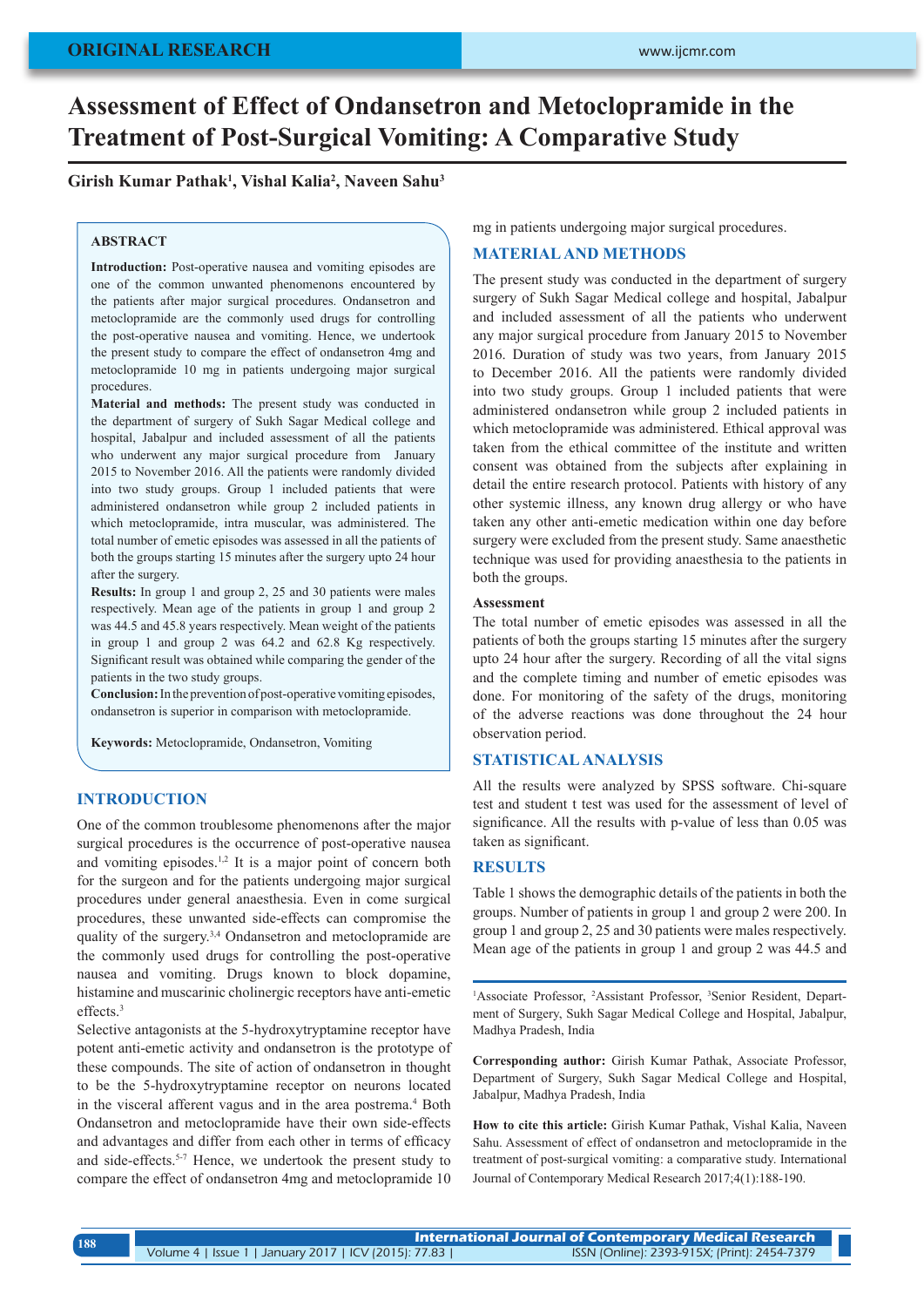# **Assessment of Effect of Ondansetron and Metoclopramide in the Treatment of Post-Surgical Vomiting: A Comparative Study**

## **Girish Kumar Pathak1 , Vishal Kalia2 , Naveen Sahu3**

#### **ABSTRACT**

**Introduction:** Post-operative nausea and vomiting episodes are one of the common unwanted phenomenons encountered by the patients after major surgical procedures. Ondansetron and metoclopramide are the commonly used drugs for controlling the post-operative nausea and vomiting. Hence, we undertook the present study to compare the effect of ondansetron 4mg and metoclopramide 10 mg in patients undergoing major surgical procedures.

**Material and methods:** The present study was conducted in the department of surgery of Sukh Sagar Medical college and hospital, Jabalpur and included assessment of all the patients who underwent any major surgical procedure from January 2015 to November 2016. All the patients were randomly divided into two study groups. Group 1 included patients that were administered ondansetron while group 2 included patients in which metoclopramide, intra muscular, was administered. The total number of emetic episodes was assessed in all the patients of both the groups starting 15 minutes after the surgery upto 24 hour after the surgery.

**Results:** In group 1 and group 2, 25 and 30 patients were males respectively. Mean age of the patients in group 1 and group 2 was 44.5 and 45.8 years respectively. Mean weight of the patients in group 1 and group 2 was 64.2 and 62.8 Kg respectively. Significant result was obtained while comparing the gender of the patients in the two study groups.

**Conclusion:** In the prevention of post-operative vomiting episodes, ondansetron is superior in comparison with metoclopramide.

**Keywords:** Metoclopramide, Ondansetron, Vomiting

# **INTRODUCTION**

One of the common troublesome phenomenons after the major surgical procedures is the occurrence of post-operative nausea and vomiting episodes.1,2 It is a major point of concern both for the surgeon and for the patients undergoing major surgical procedures under general anaesthesia. Even in come surgical procedures, these unwanted side-effects can compromise the quality of the surgery.3,4 Ondansetron and metoclopramide are the commonly used drugs for controlling the post-operative nausea and vomiting. Drugs known to block dopamine, histamine and muscarinic cholinergic receptors have anti-emetic effects.<sup>3</sup>

Selective antagonists at the 5-hydroxytryptamine receptor have potent anti-emetic activity and ondansetron is the prototype of these compounds. The site of action of ondansetron in thought to be the 5-hydroxytryptamine receptor on neurons located in the visceral afferent vagus and in the area postrema.<sup>4</sup> Both Ondansetron and metoclopramide have their own side-effects and advantages and differ from each other in terms of efficacy and side-effects.<sup>5-7</sup> Hence, we undertook the present study to compare the effect of ondansetron 4mg and metoclopramide 10

mg in patients undergoing major surgical procedures.

## **MATERIAL AND METHODS**

The present study was conducted in the department of surgery surgery of Sukh Sagar Medical college and hospital, Jabalpur and included assessment of all the patients who underwent any major surgical procedure from January 2015 to November 2016. Duration of study was two years, from January 2015 to December 2016. All the patients were randomly divided into two study groups. Group 1 included patients that were administered ondansetron while group 2 included patients in which metoclopramide was administered. Ethical approval was taken from the ethical committee of the institute and written consent was obtained from the subjects after explaining in detail the entire research protocol. Patients with history of any other systemic illness, any known drug allergy or who have taken any other anti-emetic medication within one day before surgery were excluded from the present study. Same anaesthetic technique was used for providing anaesthesia to the patients in both the groups.

#### **Assessment**

The total number of emetic episodes was assessed in all the patients of both the groups starting 15 minutes after the surgery upto 24 hour after the surgery. Recording of all the vital signs and the complete timing and number of emetic episodes was done. For monitoring of the safety of the drugs, monitoring of the adverse reactions was done throughout the 24 hour observation period.

### **STATISTICAL ANALYSIS**

All the results were analyzed by SPSS software. Chi-square test and student t test was used for the assessment of level of significance. All the results with p-value of less than 0.05 was taken as significant.

## **RESULTS**

Table 1 shows the demographic details of the patients in both the groups. Number of patients in group 1 and group 2 were 200. In group 1 and group 2, 25 and 30 patients were males respectively. Mean age of the patients in group 1 and group 2 was 44.5 and

<sup>1</sup>Associate Professor, <sup>2</sup>Assistant Professor, <sup>3</sup>Senior Resident, Department of Surgery, Sukh Sagar Medical College and Hospital, Jabalpur, Madhya Pradesh, India

**Corresponding author:** Girish Kumar Pathak, Associate Professor, Department of Surgery, Sukh Sagar Medical College and Hospital, Jabalpur, Madhya Pradesh, India

**How to cite this article:** Girish Kumar Pathak, Vishal Kalia, Naveen Sahu. Assessment of effect of ondansetron and metoclopramide in the treatment of post-surgical vomiting: a comparative study. International Journal of Contemporary Medical Research 2017;4(1):188-190.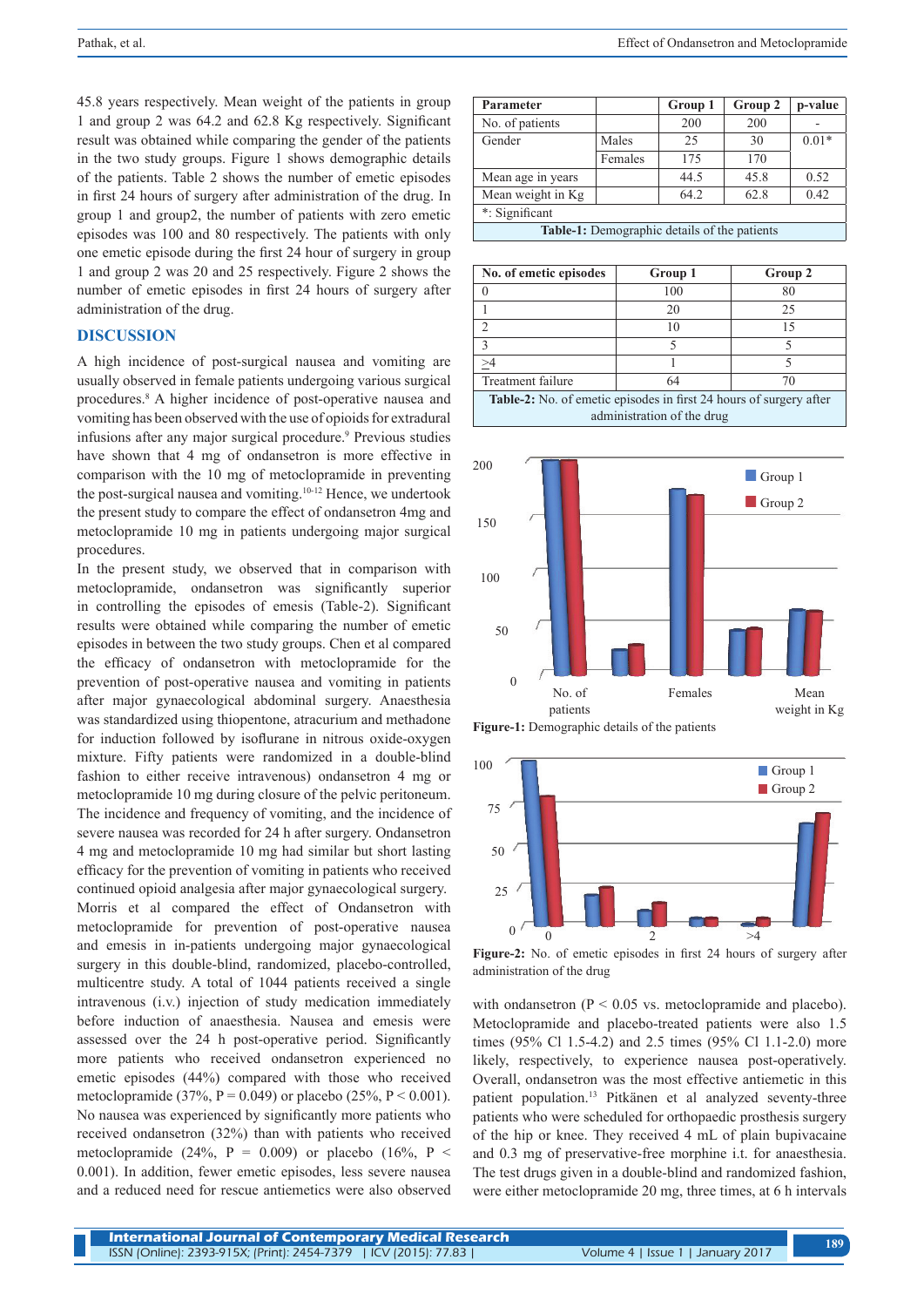45.8 years respectively. Mean weight of the patients in group 1 and group 2 was 64.2 and 62.8 Kg respectively. Significant result was obtained while comparing the gender of the patients in the two study groups. Figure 1 shows demographic details of the patients. Table 2 shows the number of emetic episodes in first 24 hours of surgery after administration of the drug. In group 1 and group2, the number of patients with zero emetic episodes was 100 and 80 respectively. The patients with only one emetic episode during the first 24 hour of surgery in group 1 and group 2 was 20 and 25 respectively. Figure 2 shows the number of emetic episodes in first 24 hours of surgery after administration of the drug.

#### **DISCUSSION**

A high incidence of post-surgical nausea and vomiting are usually observed in female patients undergoing various surgical procedures.8 A higher incidence of post-operative nausea and vomiting has been observed with the use of opioids for extradural infusions after any major surgical procedure.9 Previous studies have shown that 4 mg of ondansetron is more effective in comparison with the 10 mg of metoclopramide in preventing the post-surgical nausea and vomiting.10-12 Hence, we undertook the present study to compare the effect of ondansetron 4mg and metoclopramide 10 mg in patients undergoing major surgical procedures.

In the present study, we observed that in comparison with metoclopramide, ondansetron was significantly superior in controlling the episodes of emesis (Table-2). Significant results were obtained while comparing the number of emetic episodes in between the two study groups. Chen et al compared the efficacy of ondansetron with metoclopramide for the prevention of post-operative nausea and vomiting in patients after major gynaecological abdominal surgery. Anaesthesia was standardized using thiopentone, atracurium and methadone for induction followed by isoflurane in nitrous oxide-oxygen mixture. Fifty patients were randomized in a double-blind fashion to either receive intravenous) ondansetron 4 mg or metoclopramide 10 mg during closure of the pelvic peritoneum. The incidence and frequency of vomiting, and the incidence of severe nausea was recorded for 24 h after surgery. Ondansetron 4 mg and metoclopramide 10 mg had similar but short lasting efficacy for the prevention of vomiting in patients who received continued opioid analgesia after major gynaecological surgery. Morris et al compared the effect of Ondansetron with metoclopramide for prevention of post-operative nausea and emesis in in-patients undergoing major gynaecological surgery in this double-blind, randomized, placebo-controlled, multicentre study. A total of 1044 patients received a single intravenous (i.v.) injection of study medication immediately before induction of anaesthesia. Nausea and emesis were assessed over the 24 h post-operative period. Significantly more patients who received ondansetron experienced no emetic episodes (44%) compared with those who received metoclopramide (37%,  $P = 0.049$ ) or placebo (25%,  $P \le 0.001$ ). No nausea was experienced by significantly more patients who received ondansetron (32%) than with patients who received metoclopramide (24%, P = 0.009) or placebo (16%, P < 0.001). In addition, fewer emetic episodes, less severe nausea and a reduced need for rescue antiemetics were also observed

| Parameter                                    |         | Group 1 | Group 2 | p-value |  |
|----------------------------------------------|---------|---------|---------|---------|--|
| No. of patients                              |         | 200     | 200     |         |  |
| Gender                                       | Males   | 25      | 30      | $0.01*$ |  |
|                                              | Females | 175     | 170     |         |  |
| Mean age in years                            |         | 44.5    | 45.8    | 0.52    |  |
| Mean weight in Kg                            |         | 64.2    | 62.8    | 0.42    |  |
| *: Significant                               |         |         |         |         |  |
| Table-1: Demographic details of the patients |         |         |         |         |  |

| No. of emetic episodes                                                    | Group 1 | Group 2 |  |  |
|---------------------------------------------------------------------------|---------|---------|--|--|
|                                                                           | 100     | 80      |  |  |
|                                                                           | 20      | 25      |  |  |
|                                                                           | 10      | 15      |  |  |
|                                                                           |         |         |  |  |
|                                                                           |         |         |  |  |
| Treatment failure                                                         | 64      |         |  |  |
| <b>Table-2:</b> No. of emetic episodes in first 24 hours of surgery after |         |         |  |  |
| administration of the drug                                                |         |         |  |  |





**Figure-2:** No. of emetic episodes in first 24 hours of surgery after administration of the drug

with ondansetron ( $P < 0.05$  vs. metoclopramide and placebo). Metoclopramide and placebo-treated patients were also 1.5 times (95% Cl 1.5-4.2) and 2.5 times (95% Cl 1.1-2.0) more likely, respectively, to experience nausea post-operatively. Overall, ondansetron was the most effective antiemetic in this patient population.13 Pitkänen et al analyzed seventy-three patients who were scheduled for orthopaedic prosthesis surgery of the hip or knee. They received 4 mL of plain bupivacaine and 0.3 mg of preservative-free morphine i.t. for anaesthesia. The test drugs given in a double-blind and randomized fashion, were either metoclopramide 20 mg, three times, at 6 h intervals